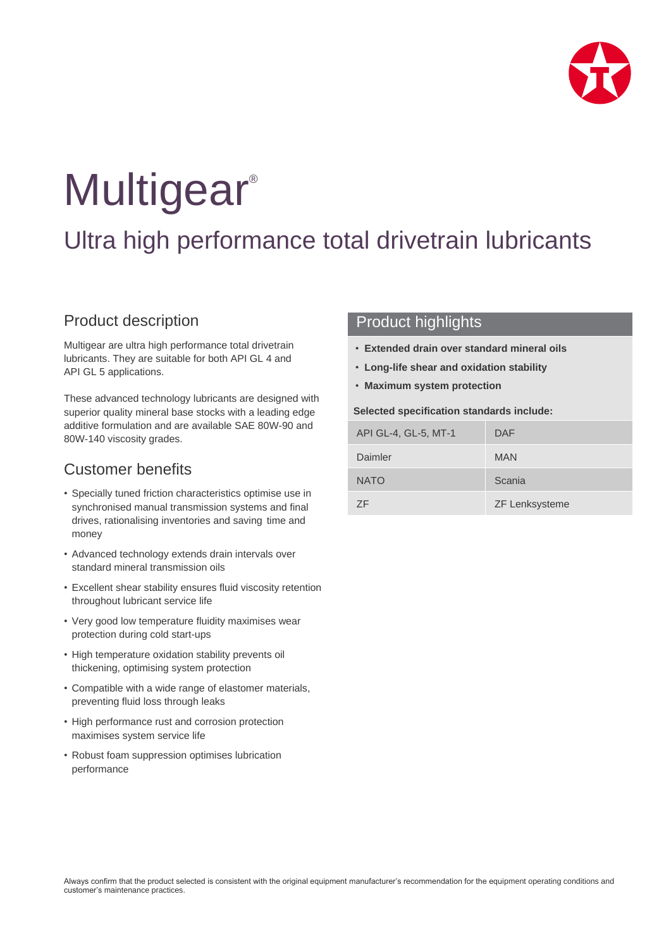

# **Multigear®**

## Ultra high performance total drivetrain lubricants

## Product description

Multigear are ultra high performance total drivetrain lubricants. They are suitable for both API GL 4 and API GL 5 applications.

These advanced technology lubricants are designed with superior quality mineral base stocks with a leading edge additive formulation and are available SAE 80W-90 and 80W-140 viscosity grades.

## Customer benefits

- Specially tuned friction characteristics optimise use in synchronised manual transmission systems and final drives, rationalising inventories and saving time and money
- Advanced technology extends drain intervals over standard mineral transmission oils
- Excellent shear stability ensures fluid viscosity retention throughout lubricant service life
- Very good low temperature fluidity maximises wear protection during cold start-ups
- High temperature oxidation stability prevents oil thickening, optimising system protection
- Compatible with a wide range of elastomer materials, preventing fluid loss through leaks
- High performance rust and corrosion protection maximises system service life
- Robust foam suppression optimises lubrication performance

### Product highlights

- **Extended drain over standard mineral oils**
- **Long-life shear and oxidation stability**
- **Maximum system protection**

#### **Selected specification standards include:**

| API GL-4, GL-5, MT-1 | DAF                   |
|----------------------|-----------------------|
| Daimler              | <b>MAN</b>            |
| <b>NATO</b>          | Scania                |
| <b>7F</b>            | <b>ZF Lenksysteme</b> |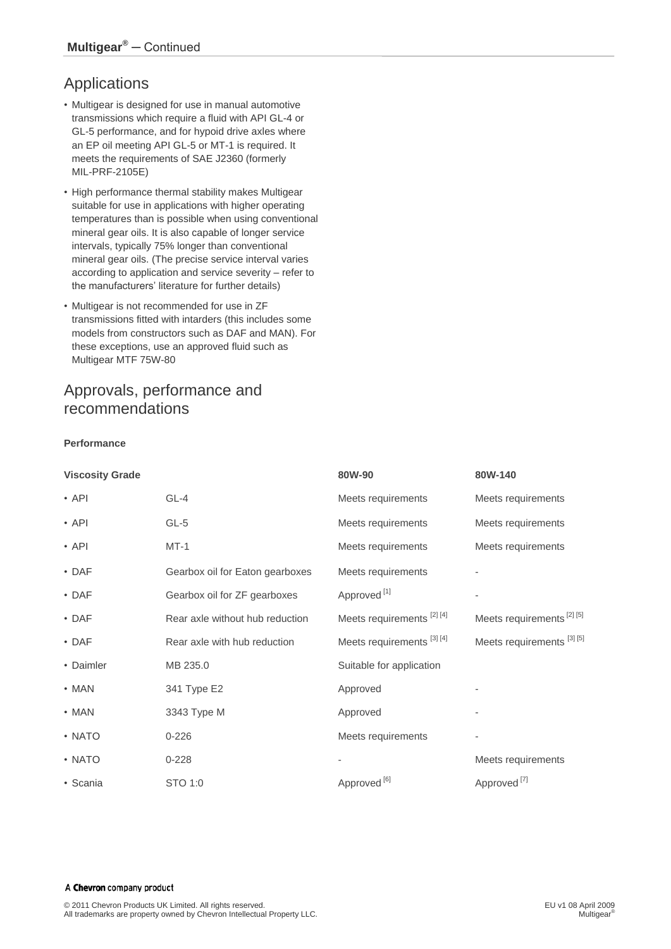## Applications

- Multigear is designed for use in manual automotive transmissions which require a fluid with API GL-4 or GL-5 performance, and for hypoid drive axles where an EP oil meeting API GL-5 or MT-1 is required. It meets the requirements of SAE J2360 (formerly MIL-PRF-2105E)
- High performance thermal stability makes Multigear suitable for use in applications with higher operating temperatures than is possible when using conventional mineral gear oils. It is also capable of longer service intervals, typically 75% longer than conventional mineral gear oils. (The precise service interval varies according to application and service severity – refer to the manufacturers' literature for further details)
- Multigear is not recommended for use in ZF transmissions fitted with intarders (this includes some models from constructors such as DAF and MAN). For these exceptions, use an approved fluid such as Multigear MTF 75W-80

## Approvals, performance and recommendations

#### **Performance**

| <b>Viscosity Grade</b> |                                 | 80W-90                               | 80W-140                              |
|------------------------|---------------------------------|--------------------------------------|--------------------------------------|
| $\cdot$ API            | $GL-4$                          | Meets requirements                   | Meets requirements                   |
| $\cdot$ API            | GL-5                            | Meets requirements                   | Meets requirements                   |
| $\cdot$ API            | $MT-1$                          | Meets requirements                   | Meets requirements                   |
| $\cdot$ DAF            | Gearbox oil for Eaton gearboxes | Meets requirements                   |                                      |
| $\cdot$ DAF            | Gearbox oil for ZF gearboxes    | Approved <sup>[1]</sup>              | $\overline{\phantom{a}}$             |
| $\cdot$ DAF            | Rear axle without hub reduction | Meets requirements <sup>[2][4]</sup> | Meets requirements <sup>[2][5]</sup> |
| $\cdot$ DAF            | Rear axle with hub reduction    | Meets requirements [3] [4]           | Meets requirements [3] [5]           |
| • Daimler              | MB 235.0                        | Suitable for application             |                                      |
| $\cdot$ MAN            | 341 Type E2                     | Approved                             |                                      |
| $\cdot$ MAN            | 3343 Type M                     | Approved                             |                                      |
| • NATO                 | $0 - 226$                       | Meets requirements                   | $\qquad \qquad \blacksquare$         |
| • NATO                 | $0 - 228$                       |                                      | Meets requirements                   |
| • Scania               | STO 1:0                         | Approved <sup>[6]</sup>              | Approved <sup>[7]</sup>              |

#### A Chevron company product